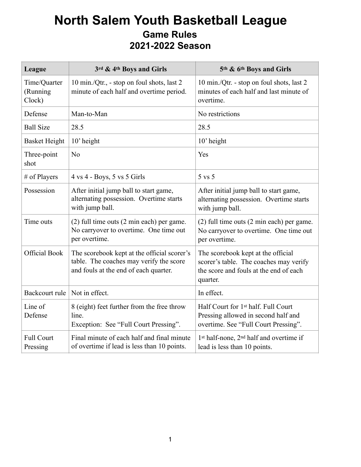## **North Salem Youth Basketball League Game Rules 2021-2022 Season**

| League                             | 3rd & 4th Boys and Girls                                                                                                        | 5th & 6th Boys and Girls                                                                                                           |
|------------------------------------|---------------------------------------------------------------------------------------------------------------------------------|------------------------------------------------------------------------------------------------------------------------------------|
| Time/Quarter<br>(Running<br>Clock) | 10 min./Qtr., - stop on foul shots, last 2<br>minute of each half and overtime period.                                          | 10 min./Qtr. - stop on foul shots, last 2<br>minutes of each half and last minute of<br>overtime.                                  |
| Defense                            | Man-to-Man                                                                                                                      | No restrictions                                                                                                                    |
| <b>Ball Size</b>                   | 28.5                                                                                                                            | 28.5                                                                                                                               |
| <b>Basket Height</b>               | 10' height                                                                                                                      | 10' height                                                                                                                         |
| Three-point<br>shot                | N <sub>o</sub>                                                                                                                  | Yes                                                                                                                                |
| # of Players                       | $4 \text{ vs } 4$ - Boys, 5 vs 5 Girls                                                                                          | 5 vs 5                                                                                                                             |
| Possession                         | After initial jump ball to start game,<br>alternating possession. Overtime starts<br>with jump ball.                            | After initial jump ball to start game,<br>alternating possession. Overtime starts<br>with jump ball.                               |
| Time outs                          | (2) full time outs (2 min each) per game.<br>No carryover to overtime. One time out<br>per overtime.                            | (2) full time outs (2 min each) per game.<br>No carryover to overtime. One time out<br>per overtime.                               |
| <b>Official Book</b>               | The scorebook kept at the official scorer's<br>table. The coaches may verify the score<br>and fouls at the end of each quarter. | The scorebook kept at the official<br>scorer's table. The coaches may verify<br>the score and fouls at the end of each<br>quarter. |
| Backcourt rule                     | Not in effect.                                                                                                                  | In effect.                                                                                                                         |
| Line of<br>Defense                 | 8 (eight) feet further from the free throw<br>line.<br>Exception: See "Full Court Pressing".                                    | Half Court for 1st half. Full Court<br>Pressing allowed in second half and<br>overtime. See "Full Court Pressing".                 |
| <b>Full Court</b><br>Pressing      | Final minute of each half and final minute<br>of overtime if lead is less than 10 points.                                       | 1st half-none, 2 <sup>nd</sup> half and overtime if<br>lead is less than 10 points.                                                |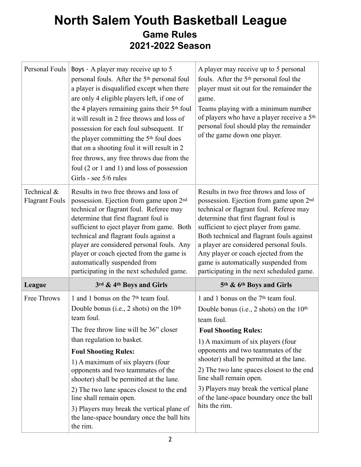## **North Salem Youth Basketball League Game Rules 2021-2022 Season**

| Personal Fouls                       | Boys - A player may receive up to 5<br>personal fouls. After the 5 <sup>th</sup> personal foul<br>a player is disqualified except when there<br>are only 4 eligible players left, if one of<br>the 4 players remaining gains their 5 <sup>th</sup> foul<br>it will result in 2 free throws and loss of<br>possession for each foul subsequent. If                  | A player may receive up to 5 personal<br>fouls. After the 5 <sup>th</sup> personal foul the<br>player must sit out for the remainder the<br>game.<br>Teams playing with a minimum number<br>of players who have a player receive a 5 <sup>th</sup><br>personal foul should play the remainder                                                              |
|--------------------------------------|--------------------------------------------------------------------------------------------------------------------------------------------------------------------------------------------------------------------------------------------------------------------------------------------------------------------------------------------------------------------|------------------------------------------------------------------------------------------------------------------------------------------------------------------------------------------------------------------------------------------------------------------------------------------------------------------------------------------------------------|
|                                      | the player committing the 5 <sup>th</sup> foul does<br>that on a shooting foul it will result in 2<br>free throws, any free throws due from the<br>foul $(2 \text{ or } 1 \text{ and } 1)$ and loss of possession<br>Girls - see 5/6 rules                                                                                                                         | of the game down one player.                                                                                                                                                                                                                                                                                                                               |
| Technical &<br><b>Flagrant Fouls</b> | Results in two free throws and loss of<br>possession. Ejection from game upon 2 <sup>nd</sup><br>technical or flagrant foul. Referee may<br>determine that first flagrant foul is<br>sufficient to eject player from game. Both<br>technical and flagrant fouls against a<br>player are considered personal fouls. Any<br>player or coach ejected from the game is | Results in two free throws and loss of<br>possession. Ejection from game upon 2 <sup>nd</sup><br>technical or flagrant foul. Referee may<br>determine that first flagrant foul is<br>sufficient to eject player from game.<br>Both technical and flagrant fouls against<br>a player are considered personal fouls.<br>Any player or coach ejected from the |
|                                      | automatically suspended from<br>participating in the next scheduled game.                                                                                                                                                                                                                                                                                          | game is automatically suspended from<br>participating in the next scheduled game.                                                                                                                                                                                                                                                                          |
| League                               | 3rd & 4th Boys and Girls                                                                                                                                                                                                                                                                                                                                           | 5th & 6th Boys and Girls                                                                                                                                                                                                                                                                                                                                   |
| Free Throws                          | 1 and 1 bonus on the 7 <sup>th</sup> team foul.<br>Double bonus (i.e., 2 shots) on the $10th$<br>team foul.<br>The free throw line will be 36" closer                                                                                                                                                                                                              | 1 and 1 bonus on the 7 <sup>th</sup> team foul.<br>Double bonus (i.e., 2 shots) on the $10th$<br>team foul.<br><b>Foul Shooting Rules:</b>                                                                                                                                                                                                                 |
|                                      | than regulation to basket.                                                                                                                                                                                                                                                                                                                                         | 1) A maximum of six players (four                                                                                                                                                                                                                                                                                                                          |
|                                      | <b>Foul Shooting Rules:</b><br>1) A maximum of six players (four<br>opponents and two teammates of the<br>shooter) shall be permitted at the lane.                                                                                                                                                                                                                 | opponents and two teammates of the<br>shooter) shall be permitted at the lane.<br>2) The two lane spaces closest to the end<br>line shall remain open.                                                                                                                                                                                                     |
|                                      | 2) The two lane spaces closest to the end<br>line shall remain open.                                                                                                                                                                                                                                                                                               | 3) Players may break the vertical plane<br>of the lane-space boundary once the ball                                                                                                                                                                                                                                                                        |